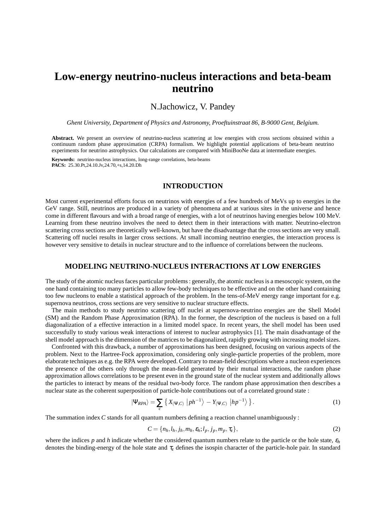# **Low-energy neutrino-nucleus interactions and beta-beam neutrino**

## N.Jachowicz, V. Pandey

*Ghent University, Department of Physics and Astronomy, Proeftuinstraat 86, B-9000 Gent, Belgium.*

Abstract. We present an overview of neutrino-nucleus scattering at low energies with cross sections obtained within a continuum random phase approximation (CRPA) formalism. We highlight potential applications of beta-beam neutrino experiments for neutrino astrophysics. Our calculations are compared with MiniBooNe data at intermediate energies.

**Keywords:** neutrino-nucleus interactions, long-range correlations, beta-beams **PACS:** 25.30.Pt,24.10.Jv,24.70,+s,14.20.Dh

#### **INTRODUCTION**

Most current experimental efforts focus on neutrinos with energies of a few hundreds of MeVs up to energies in the GeV range. Still, neutrinos are produced in a variety of phenomena and at various sites in the universe and hence come in different flavours and with a broad range of energies, with a lot of neutrinos having energies below 100 MeV. Learning from these neutrino involves the need to detect them in their interactions with matter. Neutrino-electron scattering cross sections are theoretically well-known, but have the disadvantage that the cross sections are very small. Scattering off nuclei results in larger cross sections. At small incoming neutrino energies, the interaction process is however very sensitive to details in nuclear structure and to the influence of correlations between the nucleons.

## **MODELING NEUTRINO-NUCLEUS INTERACTIONS AT LOW ENERGIES**

The study of the atomic nucleus faces particular problems : generally, the atomic nucleus is a mesoscopic system, on the one hand containing too many particles to allow few-body techniques to be effective and on the other hand containing too few nucleons to enable a statistical approach of the problem. In the tens-of-MeV energy range important for e.g. supernova neutrinos, cross sections are very sensitive to nuclear structure effects.

The main methods to study neutrino scattering off nuclei at supernova-neutrino energies are the Shell Model (SM) and the Random Phase Approximation (RPA). In the former, the description of the nucleus is based on a full diagonalization of a effective interaction in a limited model space. In recent years, the shell model has been used successfully to study various weak interactions of interest to nuclear astrophysics [1]. The main disadvantage of the shell model approach is the dimension of the matrices to be diagonalized, rapidly growing with increasing model sizes.

Confronted with this drawback, a number of approximations has been designed, focusing on various aspects of the problem. Next to the Hartree-Fock approximation, considering only single-particle properties of the problem, more elaborate techniques as e.g. the RPA were developed. Contrary to mean-field descriptions where a nucleon experiences the presence of the others only through the mean-field generated by their mutual interactions, the random phase approximation allows correlations to be present even in the ground state of the nuclear system and additionally allows the particles to interact by means of the residual two-body force. The random phase approximation then describes a nuclear state as the coherent superposition of particle-hole contributions out of a correlated ground state :

$$
|\Psi_{RPA}\rangle = \sum_{c} \left\{ X_{(\Psi,C)} |ph^{-1}\rangle - Y_{(\Psi,C)} |hp^{-1}\rangle \right\}.
$$
 (1)

The summation index *C* stands for all quantum numbers defining a reaction channel unambiguously :

$$
C = \{n_h, l_h, j_h, m_h, \varepsilon_h; l_p, j_p, m_p, \tau_z\},\tag{2}
$$

where the indices *p* and *h* indicate whether the considered quantum numbers relate to the particle or the hole state, <sup>ε</sup>*<sup>h</sup>* denotes the binding-energy of the hole state and <sup>τ</sup>*<sup>z</sup>* defines the isospin character of the particle-hole pair. In standard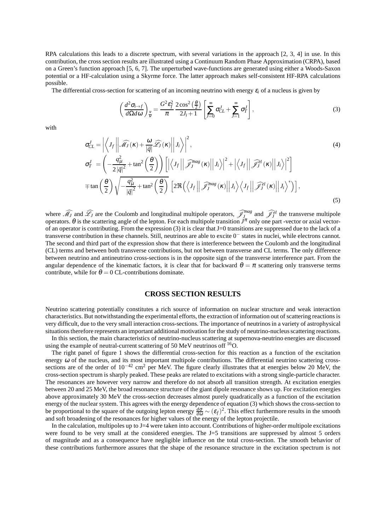RPA calculations this leads to a discrete spectrum, with several variations in the approach [2, 3, 4] in use. In this contribution, the cross section results are illustrated using a Continuum Random Phase Approximation (CRPA), based on a Green's function approach [5, 6, 7]. The unperturbed wave-functions are generated using either a Woods-Saxon potential or a HF-calculation using a Skyrme force. The latter approach makes self-consistent HF-RPA calculations possible.

The differential cross-section for scattering of an incoming neutrino with energy  $\varepsilon_i$  of a nucleus is given by

$$
\left(\frac{d^2\sigma_{i\to f}}{d\Omega d\omega}\right)_\frac{v}{v} = \frac{G^2\epsilon_f^2}{\pi} \frac{2\cos^2\left(\frac{\theta}{2}\right)}{2J_i+1} \left[\sum_{J=0}^\infty \sigma_{CL}^J + \sum_{J=1}^\infty \sigma_T^J\right],\tag{3}
$$

with

$$
\sigma_{CL}^{J} = \left| \left\langle J_{f} \left| \left| \widehat{\mathcal{M}_{J}}(\kappa) + \frac{\omega}{|\vec{q}|} \widehat{\mathcal{L}_{J}}(\kappa) \right| \right| J_{i} \right\rangle \right|^{2},
$$
\n
$$
\sigma_{T}^{J} = \left( -\frac{q_{\mu}^{2}}{2|\vec{q}|^{2}} + \tan^{2} \left( \frac{\theta}{2} \right) \right) \left[ \left| \left\langle J_{f} \right| \right| \widehat{\mathcal{J}}_{J}^{mag}(\kappa) \left| |J_{i} \right\rangle \right|^{2} + \left| \left\langle J_{f} \right| \right| \widehat{\mathcal{J}}_{J}^{\tilde{e}^{I}}(\kappa) \left| |J_{i} \right\rangle \right|^{2} \right]
$$
\n
$$
\mp \tan \left( \frac{\theta}{2} \right) \sqrt{-\frac{q_{\mu}^{2}}{|\vec{q}|^{2}} + \tan^{2} \left( \frac{\theta}{2} \right)} \left[ 2 \Re \left( \left\langle J_{f} \right| \right| \widehat{\mathcal{J}}_{J}^{mag}(\kappa) \left| |J_{i} \right\rangle \left\langle J_{f} \right| \right| \widehat{\mathcal{J}}_{J}^{\tilde{e}^{I}}(\kappa) \left| |J_{i} \right\rangle \right)^{*} \right],
$$
\n(5)

where  $\widehat{\mathcal{M}}_J$  and  $\widehat{\mathcal{L}}_J$  are the Coulomb and longitudinal multipole operators,  $\widehat{\mathcal{J}}_J^{mag}$  and  $\widehat{\mathcal{J}}_J^{el}$  the transverse multipole operators.  $θ$  is the scattering angle of the lepton. For each multipole transition  $J<sup>π</sup>$  only one part -vector or axial vectorof an operator is contributing. From the expression (3) it is clear that J=0 transitions are suppressed due to the lack of a transverse contribution in these channels. Still, neutrinos are able to excite 0<sup>−</sup> states in nuclei, while electrons cannot. The second and third part of the expression show that there is interference between the Coulomb and the longitudinal (CL) terms and between both transverse contributions, but not between transverse and CL terms. The only difference between neutrino and antineutrino cross-sections is in the opposite sign of the transverse interference part. From the angular dependence of the kinematic factors, it is clear that for backward  $\theta = \pi$  scattering only transverse terms contribute, while for  $\theta = 0$  CL-contributions dominate.

#### **CROSS SECTION RESULTS**

Neutrino scattering potentially constitutes a rich source of information on nuclear structure and weak interaction characteristics. But notwithstanding the experimental efforts, the extraction of information out of scattering reactions is very difficult, due to the very small interaction cross-sections. The importance of neutrinos in a variety of astrophysical situations therefore represents an important additional motivation for the study of neutrino-nucleus scattering reactions.

In this section, the main characteristics of neutrino-nucleus scattering at supernova-neutrino energies are discussed using the example of neutral-current scattering of 50 MeV neutrinos off <sup>16</sup>O.

The right panel of figure 1 shows the differential cross-section for this reaction as a function of the excitation energy  $\omega$  of the nucleus, and its most important multipole contributions. The differential neutrino scattering crosssections are of the order of  $10^{-42}$  cm<sup>2</sup> per MeV. The figure clearly illustrates that at energies below 20 MeV, the cross-section spectrum is sharply peaked. These peaks are related to excitations with a strong single-particle character. The resonances are however very narrow and therefore do not absorb all transition strength. At excitation energies between 20 and 25 MeV, the broad resonance structure of the giant dipole resonance shows up. For excitation energies above approximately 30 MeV the cross-section decreases almost purely quadratically as a function of the excitation energy of the nuclear system. This agrees with the energy dependence of equation (3) which shows the cross-section to be proportional to the square of the outgoing lepton energy  $\frac{d\sigma}{d\omega} \sim (\varepsilon_f)^2$ . This effect furthermore results in the smooth and soft broadening of the resonances for higher values of the energy of the lepton projectile.

In the calculation, multipoles up to J=4 were taken into account. Contributions of higher-order multipole excitations were found to be very small at the considered energies. The J=5 transitions are suppressed by almost 5 orders of magnitude and as a consequence have negligible influence on the total cross-section. The smooth behavior of these contributions furthermore assures that the shape of the resonance structure in the excitation spectrum is not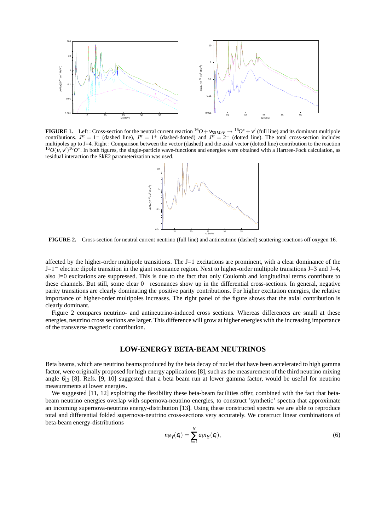

**FIGURE 1.** Left : Cross-section for the neutral current reaction  ${}^{16}O+v_{50\,MeV} \rightarrow {}^{16}O^*+v'$  (full line) and its dominant multipole contributions.  $J^{\pi} = 1^-$  (dashed line),  $J^{\pi} = 1^+$  (dashed-dotted) and  $J^{\pi} = 2^-$  (dotted line). The total cross-section includes multipoles up to J=4. Right : Comparison between the vector (dashed) and the axial vector (dotted line) contribution to the reaction  $^{16}O(\nu, \nu')$ <sup>16</sup> $O^*$ . In both figures, the single-particle wave-functions and energies were obtained with a Hartree-Fock calculation, as residual interaction the SkE2 parameterization was used.



**FIGURE 2.** Cross-section for neutral current neutrino (full line) and antineutrino (dashed) scattering reactions off oxygen 16.

affected by the higher-order multipole transitions. The  $J=1$  excitations are prominent, with a clear dominance of the J=1<sup>−</sup> electric dipole transition in the giant resonance region. Next to higher-order multipole transitions J=3 and J=4, also J=0 excitations are suppressed. This is due to the fact that only Coulomb and longitudinal terms contribute to these channels. But still, some clear 0<sup>−</sup> resonances show up in the differential cross-sections. In general, negative parity transitions are clearly dominating the positive parity contributions. For higher excitation energies, the relative importance of higher-order multipoles increases. The right panel of the figure shows that the axial contribution is clearly dominant.

Figure 2 compares neutrino- and antineutrino-induced cross sections. Whereas differences are small at these energies, neutrino cross sections are larger. This difference will grow at higher energies with the increasing importance of the transverse magnetic contribution.

#### **LOW-ENERGY BETA-BEAM NEUTRINOS**

Beta beams, which are neutrino beams produced by the beta decay of nuclei that have been accelerated to high gamma factor, were originally proposed for high energy applications [8], such as the measurement of the third neutrino mixing angle  $\theta_{13}$  [8]. Refs. [9, 10] suggested that a beta beam run at lower gamma factor, would be useful for neutrino measurements at lower energies.

We suggested [11, 12] exploiting the flexibility these beta-beam facilities offer, combined with the fact that betabeam neutrino energies overlap with supernova-neutrino energies, to construct 'synthetic' spectra that approximate an incoming supernova-neutrino energy-distribution [13]. Using these constructed spectra we are able to reproduce total and differential folded supernova-neutrino cross-sections very accurately. We construct linear combinations of beta-beam energy-distributions

$$
n_{N\gamma}(\varepsilon_i) = \sum_{i=1}^{N} a_i n_{\gamma_i}(\varepsilon_i), \qquad (6)
$$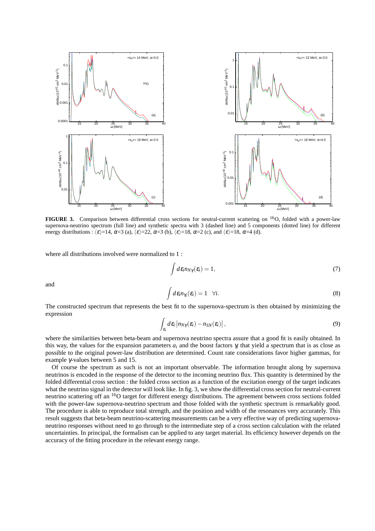

**FIGURE 3.** Comparison between differential cross sections for neutral-current scattering on <sup>16</sup>O, folded with a power-law supernova-neutrino spectrum (full line) and synthetic spectra with 3 (dashed line) and 5 components (dotted line) for different energy distributions :  $\langle \varepsilon \rangle = 14$ ,  $\alpha = 3$  (a),  $\langle \varepsilon \rangle = 22$ ,  $\alpha = 3$  (b),  $\langle \varepsilon \rangle = 18$ ,  $\alpha = 2$  (c), and  $\langle \varepsilon \rangle = 18$ ,  $\alpha = 4$  (d).

where all distributions involved were normalized to 1 :

$$
\int d\boldsymbol{\varepsilon}_i n_{N\gamma}(\boldsymbol{\varepsilon}_i) = 1,\tag{7}
$$

and

$$
\int d\varepsilon_i n_{\gamma_i}(\varepsilon_i) = 1 \quad \forall i. \tag{8}
$$

The constructed spectrum that represents the best fit to the supernova-spectrum is then obtained by minimizing the expression

$$
\int_{\mathcal{E}_i} d\varepsilon_i \left| n_{N\gamma}(\varepsilon_i) - n_{SN}(\varepsilon_i) \right|, \tag{9}
$$

where the similarities between beta-beam and supernova neutrino spectra assure that a good fit is easily obtained. In this way, the values for the expansion parameters  $a_i$  and the boost factors  $\gamma_i$  that yield a spectrum that is as close as possible to the original power-law distribution are determined. Count rate considerations favor higher gammas, for example γ-values between 5 and 15.

Of course the spectrum as such is not an important observable. The information brought along by supernova neutrinos is encoded in the response of the detector to the incoming neutrino flux. This quantity is determined by the folded differential cross section : the folded cross section as a function of the excitation energy of the target indicates what the neutrino signal in the detector will look like. In fig. 3, we show the differential cross section for neutral-current neutrino scattering off an <sup>16</sup>O target for different energy distributions. The agreement between cross sections folded with the power-law supernova-neutrino spectrum and those folded with the synthetic spectrum is remarkably good. The procedure is able to reproduce total strength, and the position and width of the resonances very accurately. This result suggests that beta-beam neutrino-scattering measurements can be a very effective way of predicting supernovaneutrino responses without need to go through to the intermediate step of a cross section calculation with the related uncertainties. In principal, the formalism can be applied to any target material. Its efficiency however depends on the accuracy of the fitting procedure in the relevant energy range.